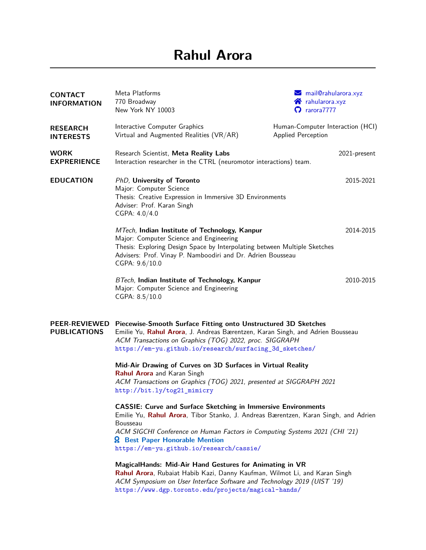# **Rahul Arora**

| <b>CONTACT</b><br><b>INFORMATION</b>                                                                                                                                                             | Meta Platforms<br>770 Broadway<br>New York NY 10003                                                                                                                                                                                                                                                                                        | $\blacktriangleright$ mail@rahularora.xyz<br><b>The Tahularora</b> .xyz<br>$\Omega$ rarora $7777$ |
|--------------------------------------------------------------------------------------------------------------------------------------------------------------------------------------------------|--------------------------------------------------------------------------------------------------------------------------------------------------------------------------------------------------------------------------------------------------------------------------------------------------------------------------------------------|---------------------------------------------------------------------------------------------------|
| <b>RESEARCH</b><br><b>INTERESTS</b>                                                                                                                                                              | Interactive Computer Graphics<br>Virtual and Augmented Realities (VR/AR)                                                                                                                                                                                                                                                                   | Human-Computer Interaction (HCI)<br>Applied Perception                                            |
| <b>WORK</b><br><b>EXPRERIENCE</b>                                                                                                                                                                | Research Scientist, Meta Reality Labs<br>Interaction researcher in the CTRL (neuromotor interactions) team.                                                                                                                                                                                                                                | 2021-present                                                                                      |
| <b>EDUCATION</b>                                                                                                                                                                                 | PhD, University of Toronto<br>Major: Computer Science<br>Thesis: Creative Expression in Immersive 3D Environments<br>Adviser: Prof. Karan Singh<br>CGPA: 4.0/4.0                                                                                                                                                                           | 2015-2021                                                                                         |
|                                                                                                                                                                                                  | MTech, Indian Institute of Technology, Kanpur<br>2014-2015<br>Major: Computer Science and Engineering<br>Thesis: Exploring Design Space by Interpolating between Multiple Sketches<br>Advisers: Prof. Vinay P. Namboodiri and Dr. Adrien Bousseau<br>CGPA: 9.6/10.0                                                                        |                                                                                                   |
|                                                                                                                                                                                                  | BTech, Indian Institute of Technology, Kanpur<br>Major: Computer Science and Engineering<br>CGPA: 8.5/10.0                                                                                                                                                                                                                                 | 2010-2015                                                                                         |
| <b>PEER-REVIEWED</b><br><b>PUBLICATIONS</b>                                                                                                                                                      | Piecewise-Smooth Surface Fitting onto Unstructured 3D Sketches<br>Emilie Yu, Rahul Arora, J. Andreas Bærentzen, Karan Singh, and Adrien Bousseau<br>ACM Transactions on Graphics (TOG) 2022, proc. SIGGRAPH<br>https://em-yu.github.io/research/surfacing_3d_sketches/                                                                     |                                                                                                   |
| Mid-Air Drawing of Curves on 3D Surfaces in Virtual Reality<br>Rahul Arora and Karan Singh<br>ACM Transactions on Graphics (TOG) 2021, presented at SIGGRAPH 2021<br>http://bit.ly/tog21_mimicry |                                                                                                                                                                                                                                                                                                                                            |                                                                                                   |
|                                                                                                                                                                                                  | <b>CASSIE: Curve and Surface Sketching in Immersive Environments</b><br>Emilie Yu, Rahul Arora, Tibor Stanko, J. Andreas Bærentzen, Karan Singh, and Adrien<br>Bousseau<br>ACM SIGCHI Conference on Human Factors in Computing Systems 2021 (CHI '21)<br><b>Q</b> Best Paper Honorable Mention<br>https://em-yu.github.io/research/cassie/ |                                                                                                   |
|                                                                                                                                                                                                  | MagicalHands: Mid-Air Hand Gestures for Animating in VR<br>Rahul Arora, Rubaiat Habib Kazi, Danny Kaufman, Wilmot Li, and Karan Singh<br>ACM Symposium on User Interface Software and Technology 2019 (UIST '19)<br>https://www.dgp.toronto.edu/projects/magical-hands/                                                                    |                                                                                                   |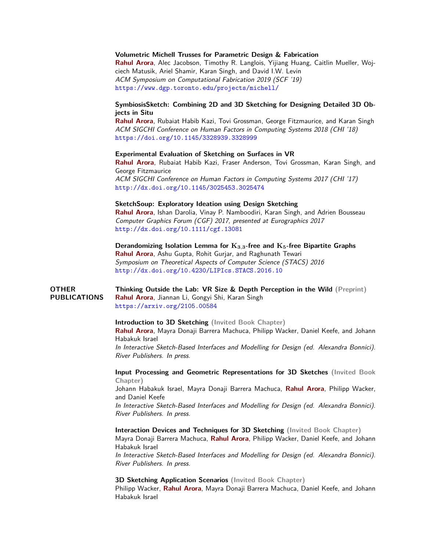### **Volumetric Michell Trusses for Parametric Design & Fabrication**

**Rahul Arora**, Alec Jacobson, Timothy R. Langlois, Yijiang Huang, Caitlin Mueller, Wojciech Matusik, Ariel Shamir, Karan Singh, and David I.W. Levin ACM Symposium on Computational Fabrication 2019 (SCF '19) <https://www.dgp.toronto.edu/projects/michell/>

# **SymbiosisSketch: Combining 2D and 3D Sketching for Designing Detailed 3D Objects in Situ**

**Rahul Arora**, Rubaiat Habib Kazi, Tovi Grossman, George Fitzmaurice, and Karan Singh ACM SIGCHI Conference on Human Factors in Computing Systems 2018 (CHI '18) <https://doi.org/10.1145/3328939.3328999>

### **Experimental Evaluation of Sketching on Surfaces in VR**

**Rahul Arora**, Rubaiat Habib Kazi, Fraser Anderson, Tovi Grossman, Karan Singh, and George Fitzmaurice ACM SIGCHI Conference on Human Factors in Computing Systems 2017 (CHI '17) <http://dx.doi.org/10.1145/3025453.3025474>

## **SketchSoup: Exploratory Ideation using Design Sketching**

**Rahul Arora**, Ishan Darolia, Vinay P. Namboodiri, Karan Singh, and Adrien Bousseau Computer Graphics Forum (CGF) 2017, presented at Eurographics 2017 <http://dx.doi.org/10.1111/cgf.13081>

**Derandomizing Isolation Lemma for K3***,***3-free and K5-free Bipartite Graphs Rahul Arora**, Ashu Gupta, Rohit Gurjar, and Raghunath Tewari Symposium on Theoretical Aspects of Computer Science (STACS) 2016 <http://dx.doi.org/10.4230/LIPIcs.STACS.2016.10>

#### **OTHER PUBLICATIONS Thinking Outside the Lab: VR Size & Depth Perception in the Wild (Preprint) Rahul Arora**, Jiannan Li, Gongyi Shi, Karan Singh <https://arxiv.org/2105.00584>

**Introduction to 3D Sketching (Invited Book Chapter) Rahul Arora**, Mayra Donaji Barrera Machuca, Philipp Wacker, Daniel Keefe, and Johann Habakuk Israel In Interactive Sketch-Based Interfaces and Modelling for Design (ed. Alexandra Bonnici). River Publishers. In press.

**Input Processing and Geometric Representations for 3D Sketches (Invited Book Chapter)**

Johann Habakuk Israel, Mayra Donaji Barrera Machuca, **Rahul Arora**, Philipp Wacker, and Daniel Keefe

In Interactive Sketch-Based Interfaces and Modelling for Design (ed. Alexandra Bonnici). River Publishers. In press.

#### **Interaction Devices and Techniques for 3D Sketching (Invited Book Chapter)**

Mayra Donaji Barrera Machuca, **Rahul Arora**, Philipp Wacker, Daniel Keefe, and Johann Habakuk Israel

In Interactive Sketch-Based Interfaces and Modelling for Design (ed. Alexandra Bonnici). River Publishers. In press.

#### **3D Sketching Application Scenarios (Invited Book Chapter)**

Philipp Wacker, **Rahul Arora**, Mayra Donaji Barrera Machuca, Daniel Keefe, and Johann Habakuk Israel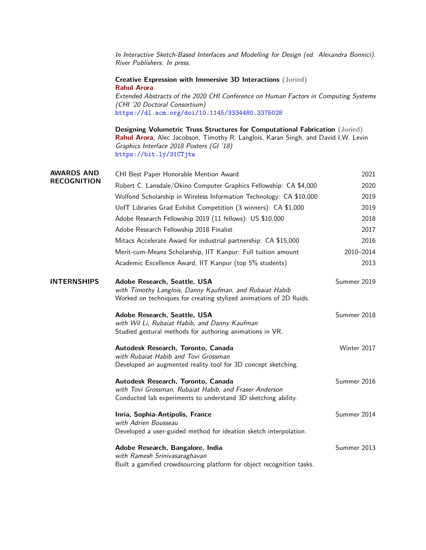|                    | In Interactive Sketch-Based Interfaces and Modelling for Design (ed. Alexandra Bonnici).<br>River Publishers. In press.                                                                                                                                     |             |
|--------------------|-------------------------------------------------------------------------------------------------------------------------------------------------------------------------------------------------------------------------------------------------------------|-------------|
|                    | Creative Expression with Immersive 3D Interactions (Juried)<br><b>Rahul Arora</b><br>Extended Abstracts of the 2020 CHI Conference on Human Factors in Computing Systems<br>(CHI '20 Doctoral Consortium)<br>https://dl.acm.org/doi/10.1145/3334480.3375028 |             |
|                    | Designing Volumetric Truss Structures for Computational Fabrication (Juried)<br>Rahul Arora, Alec Jacobson, Timothy R. Langlois, Karan Singh, and David I.W. Levin<br>Graphics Interface 2018 Posters (GI '18)<br>https://bit.ly/31CTjtw                    |             |
| <b>AWARDS AND</b>  | CHI Best Paper Honorable Mention Award                                                                                                                                                                                                                      | 2021        |
| <b>RECOGNITION</b> | Robert C. Lansdale/Okino Computer Graphics Fellowship: CA \$4,000                                                                                                                                                                                           | 2020        |
|                    | Wolfond Scholarship in Wireless Information Technology: CA \$10,000                                                                                                                                                                                         | 2019        |
|                    | UofT Libraries Grad Exhibit Competition (3 winners): CA \$1,000                                                                                                                                                                                             | 2019        |
|                    | Adobe Research Fellowship 2019 (11 fellows): US \$10,000                                                                                                                                                                                                    | 2018        |
|                    | Adobe Research Fellowship 2018 Finalist                                                                                                                                                                                                                     | 2017        |
|                    | Mitacs Accelerate Award for industrial partnership: CA \$15,000                                                                                                                                                                                             | 2016        |
|                    | Merit-cum-Means Scholarship, IIT Kanpur: Full tuition amount                                                                                                                                                                                                | 2010-2014   |
|                    | Academic Excellence Award, IIT Kanpur (top 5% students)                                                                                                                                                                                                     | 2013        |
| <b>INTERNSHIPS</b> | Adobe Research, Seattle, USA<br>with Timothy Langlois, Danny Kaufman, and Rubaiat Habib<br>Worked on techniques for creating stylized animations of 2D fluids.                                                                                              | Summer 2019 |
|                    | Adobe Research, Seattle, USA<br>with Wil Li, Rubaiat Habib, and Danny Kaufman<br>Studied gestural methods for authoring animations in VR.                                                                                                                   | Summer 2018 |
|                    | Autodesk Research, Toronto, Canada<br>with Rubaiat Habib and Tovi Grossman<br>Developed an augmented reality tool for 3D concept sketching.                                                                                                                 | Winter 2017 |
|                    | Autodesk Research, Toronto, Canada<br>with Tovi Grossman, Rubaiat Habib, and Fraser Anderson<br>Conducted lab experiments to understand 3D sketching ability.                                                                                               | Summer 2016 |
|                    | Inria, Sophia-Antipolis, France<br>with Adrien Bousseau<br>Developed a user-guided method for ideation sketch interpolation.                                                                                                                                | Summer 2014 |
|                    | Adobe Research, Bangalore, India<br>with Ramesh Srinivasaraghavan<br>Built a gamified crowdsourcing platform for object recognition tasks.                                                                                                                  | Summer 2013 |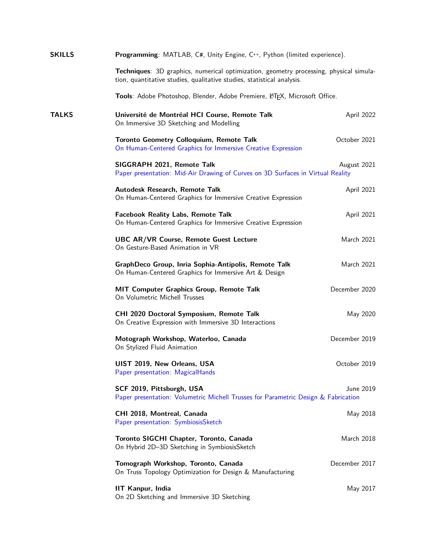| <b>SKILLS</b> | <b>Programming:</b> MATLAB, C#, Unity Engine, C++, Python (limited experience).                                                                                  |               |  |  |
|---------------|------------------------------------------------------------------------------------------------------------------------------------------------------------------|---------------|--|--|
|               | Techniques: 3D graphics, numerical optimization, geometry processing, physical simula-<br>tion, quantitative studies, qualitative studies, statistical analysis. |               |  |  |
|               | Tools: Adobe Photoshop, Blender, Adobe Premiere, LATEX, Microsoft Office.                                                                                        |               |  |  |
| <b>TALKS</b>  | Université de Montréal HCI Course, Remote Talk<br>On Immersive 3D Sketching and Modelling                                                                        | April 2022    |  |  |
|               | <b>Toronto Geometry Colloquium, Remote Talk</b><br>On Human-Centered Graphics for Immersive Creative Expression                                                  | October 2021  |  |  |
|               | SIGGRAPH 2021, Remote Talk<br>Paper presentation: Mid-Air Drawing of Curves on 3D Surfaces in Virtual Reality                                                    | August 2021   |  |  |
|               | Autodesk Research, Remote Talk<br>On Human-Centered Graphics for Immersive Creative Expression                                                                   | April 2021    |  |  |
|               | <b>Facebook Reality Labs, Remote Talk</b><br>On Human-Centered Graphics for Immersive Creative Expression                                                        | April 2021    |  |  |
|               | <b>UBC AR/VR Course, Remote Guest Lecture</b><br>On Gesture-Based Animation in VR                                                                                | March 2021    |  |  |
|               | GraphDeco Group, Inria Sophia-Antipolis, Remote Talk<br>On Human-Centered Graphics for Immersive Art & Design                                                    | March 2021    |  |  |
|               | MIT Computer Graphics Group, Remote Talk<br>On Volumetric Michell Trusses                                                                                        | December 2020 |  |  |
|               | CHI 2020 Doctoral Symposium, Remote Talk<br>On Creative Expression with Immersive 3D Interactions                                                                | May 2020      |  |  |
|               | Motograph Workshop, Waterloo, Canada<br>On Stylized Fluid Animation                                                                                              | December 2019 |  |  |
|               | UIST 2019, New Orleans, USA<br>Paper presentation: MagicalHands                                                                                                  | October 2019  |  |  |
|               | SCF 2019, Pittsburgh, USA<br>Paper presentation: Volumetric Michell Trusses for Parametric Design & Fabrication                                                  | June 2019     |  |  |
|               | CHI 2018, Montreal, Canada<br>Paper presentation: SymbiosisSketch                                                                                                | May 2018      |  |  |
|               | Toronto SIGCHI Chapter, Toronto, Canada<br>On Hybrid 2D-3D Sketching in SymbiosisSketch                                                                          | March 2018    |  |  |
|               | Tomograph Workshop, Toronto, Canada<br>On Truss Topology Optimization for Design & Manufacturing                                                                 | December 2017 |  |  |
|               | <b>IIT Kanpur, India</b><br>On 2D Sketching and Immersive 3D Sketching                                                                                           | May 2017      |  |  |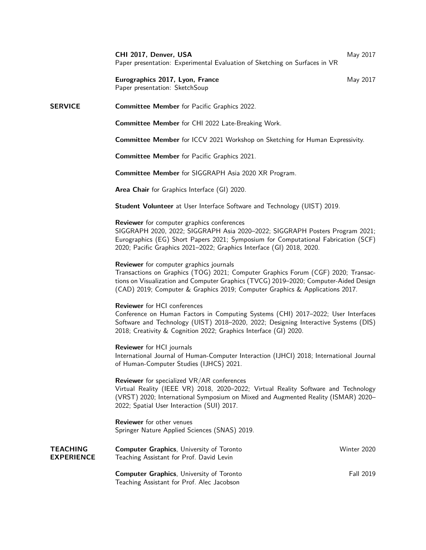**CHI 2017, Denver, USA** May 2017 Paper presentation: Experimental Evaluation of Sketching on Surfaces in VR

**Eurographics 2017, Lyon, France** May 2017 Paper presentation: SketchSoup

# **SERVICE Committee Member** for Pacific Graphics 2022.

**Committee Member** for CHI 2022 Late-Breaking Work.

**Committee Member** for ICCV 2021 Workshop on Sketching for Human Expressivity.

**Committee Member** for Pacific Graphics 2021.

**Committee Member** for SIGGRAPH Asia 2020 XR Program.

**Area Chair** for Graphics Interface (GI) 2020.

**Student Volunteer** at User Interface Software and Technology (UIST) 2019.

#### **Reviewer** for computer graphics conferences

SIGGRAPH 2020, 2022; SIGGRAPH Asia 2020–2022; SIGGRAPH Posters Program 2021; Eurographics (EG) Short Papers 2021; Symposium for Computational Fabrication (SCF) 2020; Pacific Graphics 2021–2022; Graphics Interface (GI) 2018, 2020.

#### **Reviewer** for computer graphics journals

Transactions on Graphics (TOG) 2021; Computer Graphics Forum (CGF) 2020; Transactions on Visualization and Computer Graphics (TVCG) 2019–2020; Computer-Aided Design (CAD) 2019; Computer & Graphics 2019; Computer Graphics & Applications 2017.

#### **Reviewer** for HCI conferences

Conference on Human Factors in Computing Systems (CHI) 2017–2022; User Interfaces Software and Technology (UIST) 2018–2020, 2022; Designing Interactive Systems (DIS) 2018; Creativity & Cognition 2022; Graphics Interface (GI) 2020.

**Reviewer** for HCI journals International Journal of Human-Computer Interaction (IJHCI) 2018; International Journal of Human-Computer Studies (IJHCS) 2021.

**Reviewer** for specialized VR/AR conferences

Virtual Reality (IEEE VR) 2018, 2020–2022; Virtual Reality Software and Technology (VRST) 2020; International Symposium on Mixed and Augmented Reality (ISMAR) 2020– 2022; Spatial User Interaction (SUI) 2017.

**Reviewer** for other venues Springer Nature Applied Sciences (SNAS) 2019.

| TEACHING<br><b>EXPERIENCE</b> | <b>Computer Graphics.</b> University of Toronto<br>Teaching Assistant for Prof. David Levin   | Winter 2020      |
|-------------------------------|-----------------------------------------------------------------------------------------------|------------------|
|                               | <b>Computer Graphics.</b> University of Toronto<br>Teaching Assistant for Prof. Alec Jacobson | <b>Fall 2019</b> |